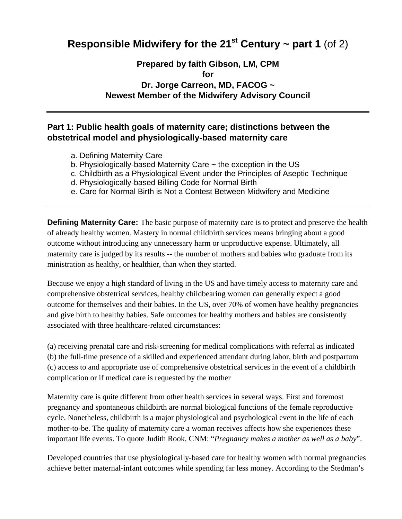# **Responsible Midwifery for the 21<sup>st</sup> Century ~ part 1 (of 2)**

## **Prepared by faith Gibson, LM, CPM for Dr. Jorge Carreon, MD, FACOG ~ Newest Member of the Midwifery Advisory Council**

## **Part 1: Public health goals of maternity care; distinctions between the obstetrical model and physiologically-based maternity care**

- a. Defining Maternity Care
- b. Physiologically-based Maternity Care ~ the exception in the US
- c. Childbirth as a Physiological Event under the Principles of Aseptic Technique
- d. Physiologically-based Billing Code for Normal Birth
- e. Care for Normal Birth is Not a Contest Between Midwifery and Medicine

**Defining Maternity Care:** The basic purpose of maternity care is to protect and preserve the health of already healthy women. Mastery in normal childbirth services means bringing about a good outcome without introducing any unnecessary harm or unproductive expense. Ultimately, all maternity care is judged by its results -- the number of mothers and babies who graduate from its ministration as healthy, or healthier, than when they started.

Because we enjoy a high standard of living in the US and have timely access to maternity care and comprehensive obstetrical services, healthy childbearing women can generally expect a good outcome for themselves and their babies. In the US, over 70% of women have healthy pregnancies and give birth to healthy babies. Safe outcomes for healthy mothers and babies are consistently associated with three healthcare-related circumstances:

(a) receiving prenatal care and risk-screening for medical complications with referral as indicated (b) the full-time presence of a skilled and experienced attendant during labor, birth and postpartum (c) access to and appropriate use of comprehensive obstetrical services in the event of a childbirth complication or if medical care is requested by the mother

Maternity care is quite different from other health services in several ways. First and foremost pregnancy and spontaneous childbirth are normal biological functions of the female reproductive cycle. Nonetheless, childbirth is a major physiological and psychological event in the life of each mother-to-be. The quality of maternity care a woman receives affects how she experiences these important life events. To quote Judith Rook, CNM: "*Pregnancy makes a mother as well as a baby*".

Developed countries that use physiologically-based care for healthy women with normal pregnancies achieve better maternal-infant outcomes while spending far less money. According to the Stedman's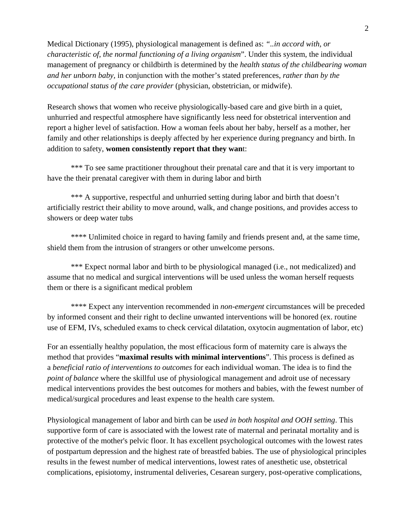Medical Dictionary (1995), physiological management is defined as: *"..in accord with, or characteristic of, the normal functioning of a living organism*". Under this system, the individual management of pregnancy or childbirth is determined by the *health status of the childbearing woman and her unborn baby,* in conjunction with the mother's stated preferences, *rather than by the occupational status of the care provider* (physician, obstetrician, or midwife).

Research shows that women who receive physiologically-based care and give birth in a quiet, unhurried and respectful atmosphere have significantly less need for obstetrical intervention and report a higher level of satisfaction. How a woman feels about her baby, herself as a mother, her family and other relationships is deeply affected by her experience during pregnancy and birth. In addition to safety, **women consistently report that they wan**t:

\*\*\* To see same practitioner throughout their prenatal care and that it is very important to have the their prenatal caregiver with them in during labor and birth

\*\*\* A supportive, respectful and unhurried setting during labor and birth that doesn't artificially restrict their ability to move around, walk, and change positions, and provides access to showers or deep water tubs

\*\*\*\* Unlimited choice in regard to having family and friends present and, at the same time, shield them from the intrusion of strangers or other unwelcome persons.

\*\*\* Expect normal labor and birth to be physiological managed (i.e., not medicalized) and assume that no medical and surgical interventions will be used unless the woman herself requests them or there is a significant medical problem

\*\*\*\* Expect any intervention recommended in *non-emergent* circumstances will be preceded by informed consent and their right to decline unwanted interventions will be honored (ex. routine use of EFM, IVs, scheduled exams to check cervical dilatation, oxytocin augmentation of labor, etc)

For an essentially healthy population, the most efficacious form of maternity care is always the method that provides "**maximal results with minimal interventions**". This process is defined as a *beneficial ratio of interventions to outcomes* for each individual woman. The idea is to find the *point of balance* where the skillful use of physiological management and adroit use of necessary medical interventions provides the best outcomes for mothers and babies, with the fewest number of medical/surgical procedures and least expense to the health care system.

Physiological management of labor and birth can be *used in both hospital and OOH setting*. This supportive form of care is associated with the lowest rate of maternal and perinatal mortality and is protective of the mother's pelvic floor. It has excellent psychological outcomes with the lowest rates of postpartum depression and the highest rate of breastfed babies. The use of physiological principles results in the fewest number of medical interventions, lowest rates of anesthetic use, obstetrical complications, episiotomy, instrumental deliveries, Cesarean surgery, post-operative complications,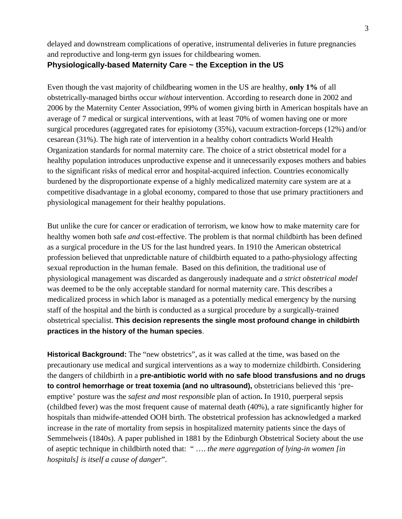delayed and downstream complications of operative, instrumental deliveries in future pregnancies and reproductive and long-term gyn issues for childbearing women.

## **Physiologically-based Maternity Care ~ the Exception in the US**

Even though the vast majority of childbearing women in the US are healthy, **only 1%** of all obstetrically-managed births occur *without* intervention. According to research done in 2002 and 2006 by the Maternity Center Association, 99% of women giving birth in American hospitals have an average of 7 medical or surgical interventions, with at least 70% of women having one or more surgical procedures (aggregated rates for episiotomy (35%), vacuum extraction-forceps (12%) and/or cesarean (31%). The high rate of intervention in a healthy cohort contradicts World Health Organization standards for normal maternity care. The choice of a strict obstetrical model for a healthy population introduces unproductive expense and it unnecessarily exposes mothers and babies to the significant risks of medical error and hospital-acquired infection. Countries economically burdened by the disproportionate expense of a highly medicalized maternity care system are at a competitive disadvantage in a global economy, compared to those that use primary practitioners and physiological management for their healthy populations.

But unlike the cure for cancer or eradication of terrorism, we know how to make maternity care for healthy women both safe *and* cost-effective. The problem is that normal childbirth has been defined as a surgical procedure in the US for the last hundred years. In 1910 the American obstetrical profession believed that unpredictable nature of childbirth equated to a patho-physiology affecting sexual reproduction in the human female. Based on this definition, the traditional use of physiological management was discarded as dangerously inadequate and *a strict obstetrical model* was deemed to be the only acceptable standard for normal maternity care. This describes a medicalized process in which labor is managed as a potentially medical emergency by the nursing staff of the hospital and the birth is conducted as a surgical procedure by a surgically-trained obstetrical specialist. **This decision represents the single most profound change in childbirth practices in the history of the human species**.

**Historical Background:** The "new obstetrics", as it was called at the time, was based on the precautionary use medical and surgical interventions as a way to modernize childbirth. Considering the dangers of childbirth in a **pre-antibiotic world with no safe blood transfusions and no drugs to control hemorrhage or treat toxemia (and no ultrasound),** obstetricians believed this 'preemptive' posture was the *safest and most responsible* plan of action**.** In 1910, puerperal sepsis (childbed fever) was the most frequent cause of maternal death (40%), a rate significantly higher for hospitals than midwife-attended OOH birth. The obstetrical profession has acknowledged a marked increase in the rate of mortality from sepsis in hospitalized maternity patients since the days of Semmelweis (1840s). A paper published in 1881 by the Edinburgh Obstetrical Society about the use of aseptic technique in childbirth noted that: " …. *the mere aggregation of lying-in women [in hospitals] is itself a cause of danger*".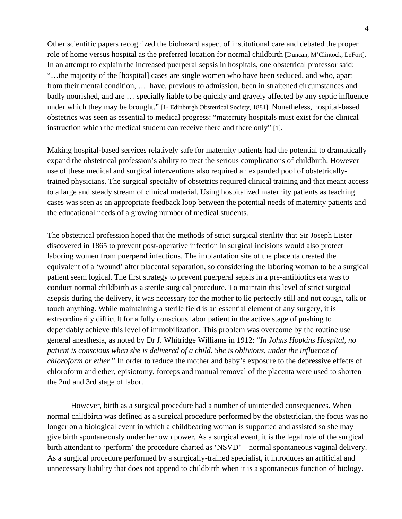Other scientific papers recognized the biohazard aspect of institutional care and debated the proper role of home versus hospital as the preferred location for normal childbirth [Duncan, M'Clintock, LeFort]. In an attempt to explain the increased puerperal sepsis in hospitals, one obstetrical professor said: "…the majority of the [hospital] cases are single women who have been seduced, and who, apart from their mental condition, …. have, previous to admission, been in straitened circumstances and badly nourished, and are … specially liable to be quickly and gravely affected by any septic influence under which they may be brought." [1- Edinburgh Obstetrical Society, 1881]. Nonetheless, hospital-based obstetrics was seen as essential to medical progress: "maternity hospitals must exist for the clinical instruction which the medical student can receive there and there only" [1].

Making hospital-based services relatively safe for maternity patients had the potential to dramatically expand the obstetrical profession's ability to treat the serious complications of childbirth. However use of these medical and surgical interventions also required an expanded pool of obstetricallytrained physicians. The surgical specialty of obstetrics required clinical training and that meant access to a large and steady stream of clinical material. Using hospitalized maternity patients as teaching cases was seen as an appropriate feedback loop between the potential needs of maternity patients and the educational needs of a growing number of medical students.

The obstetrical profession hoped that the methods of strict surgical sterility that Sir Joseph Lister discovered in 1865 to prevent post-operative infection in surgical incisions would also protect laboring women from puerperal infections. The implantation site of the placenta created the equivalent of a 'wound' after placental separation, so considering the laboring woman to be a surgical patient seem logical. The first strategy to prevent puerperal sepsis in a pre-antibiotics era was to conduct normal childbirth as a sterile surgical procedure. To maintain this level of strict surgical asepsis during the delivery, it was necessary for the mother to lie perfectly still and not cough, talk or touch anything. While maintaining a sterile field is an essential element of any surgery, it is extraordinarily difficult for a fully conscious labor patient in the active stage of pushing to dependably achieve this level of immobilization. This problem was overcome by the routine use general anesthesia, as noted by Dr J. Whitridge Williams in 1912: "*In Johns Hopkins Hospital, no patient is conscious when she is delivered of a child. She is oblivious, under the influence of chloroform or ether*." In order to reduce the mother and baby's exposure to the depressive effects of chloroform and ether, episiotomy, forceps and manual removal of the placenta were used to shorten the 2nd and 3rd stage of labor.

However, birth as a surgical procedure had a number of unintended consequences. When normal childbirth was defined as a surgical procedure performed by the obstetrician, the focus was no longer on a biological event in which a childbearing woman is supported and assisted so she may give birth spontaneously under her own power. As a surgical event, it is the legal role of the surgical birth attendant to 'perform' the procedure charted as 'NSVD' – normal spontaneous vaginal delivery. As a surgical procedure performed by a surgically-trained specialist, it introduces an artificial and unnecessary liability that does not append to childbirth when it is a spontaneous function of biology.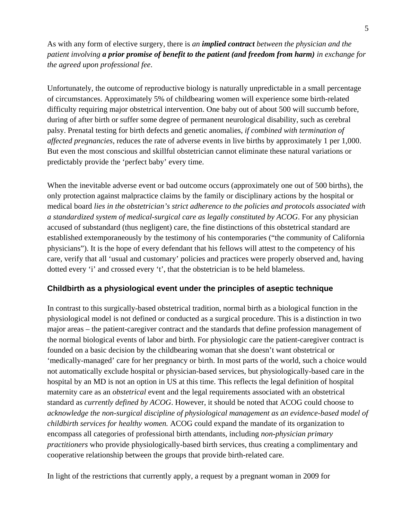As with any form of elective surgery, there is *an implied contract between the physician and the patient involving a prior promise of benefit to the patient (and freedom from harm) in exchange for the agreed upon professional fee*.

Unfortunately, the outcome of reproductive biology is naturally unpredictable in a small percentage of circumstances. Approximately 5% of childbearing women will experience some birth-related difficulty requiring major obstetrical intervention. One baby out of about 500 will succumb before, during of after birth or suffer some degree of permanent neurological disability, such as cerebral palsy. Prenatal testing for birth defects and genetic anomalies, *if combined with termination of affected pregnancies,* reduces the rate of adverse events in live births by approximately 1 per 1,000. But even the most conscious and skillful obstetrician cannot eliminate these natural variations or predictably provide the 'perfect baby' every time.

When the inevitable adverse event or bad outcome occurs (approximately one out of 500 births), the only protection against malpractice claims by the family or disciplinary actions by the hospital or medical board *lies in the obstetrician's strict adherence to the policies and protocols associated with a standardized system of medical-surgical care as legally constituted by ACOG*. For any physician accused of substandard (thus negligent) care, the fine distinctions of this obstetrical standard are established extemporaneously by the testimony of his contemporaries ("the community of California physicians"). It is the hope of every defendant that his fellows will attest to the competency of his care, verify that all 'usual and customary' policies and practices were properly observed and, having dotted every 'i' and crossed every 't', that the obstetrician is to be held blameless.

### **Childbirth as a physiological event under the principles of aseptic technique**

In contrast to this surgically-based obstetrical tradition, normal birth as a biological function in the physiological model is not defined or conducted as a surgical procedure. This is a distinction in two major areas – the patient-caregiver contract and the standards that define profession management of the normal biological events of labor and birth. For physiologic care the patient-caregiver contract is founded on a basic decision by the childbearing woman that she doesn't want obstetrical or 'medically-managed' care for her pregnancy or birth. In most parts of the world, such a choice would not automatically exclude hospital or physician-based services, but physiologically-based care in the hospital by an MD is not an option in US at this time. This reflects the legal definition of hospital maternity care as an *obstetrical* event and the legal requirements associated with an obstetrical standard as *currently defined by ACOG*. However, it should be noted that ACOG could choose to *acknowledge the non-surgical discipline of physiological management as an evidence-based model of childbirth services for healthy women.* ACOG could expand the mandate of its organization to encompass all categories of professional birth attendants, including *non-physician primary practitioners* who provide physiologically-based birth services, thus creating a complimentary and cooperative relationship between the groups that provide birth-related care.

In light of the restrictions that currently apply, a request by a pregnant woman in 2009 for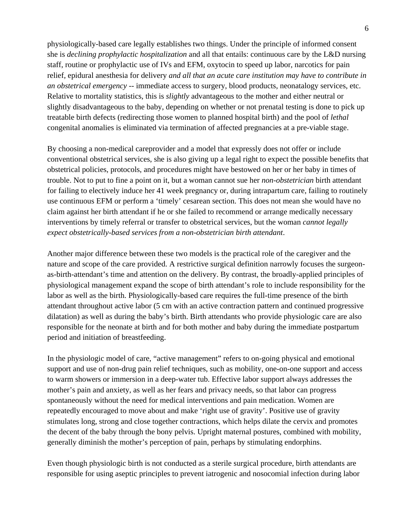physiologically-based care legally establishes two things. Under the principle of informed consent she is *declining prophylactic hospitalization* and all that entails: continuous care by the L&D nursing staff, routine or prophylactic use of IVs and EFM, oxytocin to speed up labor, narcotics for pain relief, epidural anesthesia for delivery *and all that an acute care institution may have to contribute in an obstetrical emergency* -- immediate access to surgery, blood products, neonatalogy services, etc. Relative to mortality statistics, this is *slightly* advantageous to the mother and either neutral or slightly disadvantageous to the baby, depending on whether or not prenatal testing is done to pick up treatable birth defects (redirecting those women to planned hospital birth) and the pool of *lethal*  congenital anomalies is eliminated via termination of affected pregnancies at a pre-viable stage.

By choosing a non-medical careprovider and a model that expressly does not offer or include conventional obstetrical services, she is also giving up a legal right to expect the possible benefits that obstetrical policies, protocols, and procedures might have bestowed on her or her baby in times of trouble. Not to put to fine a point on it, but a woman cannot sue her *non-obstetrician* birth attendant for failing to electively induce her 41 week pregnancy or, during intrapartum care, failing to routinely use continuous EFM or perform a 'timely' cesarean section. This does not mean she would have no claim against her birth attendant if he or she failed to recommend or arrange medically necessary interventions by timely referral or transfer to obstetrical services, but the woman *cannot legally expect obstetrically-based services from a non-obstetrician birth attendant*.

Another major difference between these two models is the practical role of the caregiver and the nature and scope of the care provided. A restrictive surgical definition narrowly focuses the surgeonas-birth-attendant's time and attention on the delivery. By contrast, the broadly-applied principles of physiological management expand the scope of birth attendant's role to include responsibility for the labor as well as the birth. Physiologically-based care requires the full-time presence of the birth attendant throughout active labor (5 cm with an active contraction pattern and continued progressive dilatation) as well as during the baby's birth. Birth attendants who provide physiologic care are also responsible for the neonate at birth and for both mother and baby during the immediate postpartum period and initiation of breastfeeding.

In the physiologic model of care, "active management" refers to on-going physical and emotional support and use of non-drug pain relief techniques, such as mobility, one-on-one support and access to warm showers or immersion in a deep-water tub. Effective labor support always addresses the mother's pain and anxiety, as well as her fears and privacy needs, so that labor can progress spontaneously without the need for medical interventions and pain medication. Women are repeatedly encouraged to move about and make 'right use of gravity'. Positive use of gravity stimulates long, strong and close together contractions, which helps dilate the cervix and promotes the decent of the baby through the bony pelvis. Upright maternal postures, combined with mobility, generally diminish the mother's perception of pain, perhaps by stimulating endorphins.

Even though physiologic birth is not conducted as a sterile surgical procedure, birth attendants are responsible for using aseptic principles to prevent iatrogenic and nosocomial infection during labor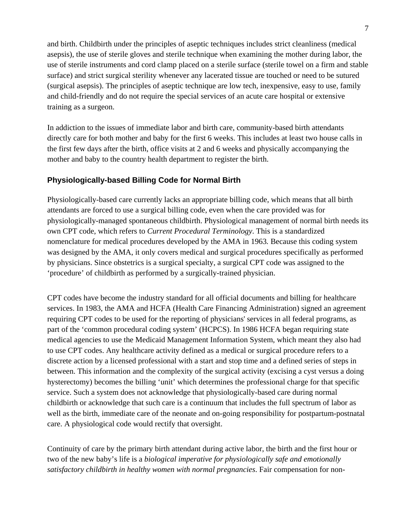and birth. Childbirth under the principles of aseptic techniques includes strict cleanliness (medical asepsis), the use of sterile gloves and sterile technique when examining the mother during labor, the use of sterile instruments and cord clamp placed on a sterile surface (sterile towel on a firm and stable surface) and strict surgical sterility whenever any lacerated tissue are touched or need to be sutured (surgical asepsis). The principles of aseptic technique are low tech, inexpensive, easy to use, family and child-friendly and do not require the special services of an acute care hospital or extensive training as a surgeon.

In addiction to the issues of immediate labor and birth care, community-based birth attendants directly care for both mother and baby for the first 6 weeks. This includes at least two house calls in the first few days after the birth, office visits at 2 and 6 weeks and physically accompanying the mother and baby to the country health department to register the birth.

### **Physiologically-based Billing Code for Normal Birth**

Physiologically-based care currently lacks an appropriate billing code, which means that all birth attendants are forced to use a surgical billing code, even when the care provided was for physiologically-managed spontaneous childbirth. Physiological management of normal birth needs its own CPT code, which refers to *Current Procedural Terminology*. This is a standardized nomenclature for medical procedures developed by the AMA in 1963*.* Because this coding system was designed by the AMA, it only covers medical and surgical procedures specifically as performed by physicians. Since obstetrics is a surgical specialty, a surgical CPT code was assigned to the 'procedure' of childbirth as performed by a surgically-trained physician.

CPT codes have become the industry standard for all official documents and billing for healthcare services. In 1983, the AMA and HCFA (Health Care Financing Administration) signed an agreement requiring CPT codes to be used for the reporting of physicians' services in all federal programs, as part of the 'common procedural coding system' (HCPCS). In 1986 HCFA began requiring state medical agencies to use the Medicaid Management Information System, which meant they also had to use CPT codes. Any healthcare activity defined as a medical or surgical procedure refers to a discrete action by a licensed professional with a start and stop time and a defined series of steps in between. This information and the complexity of the surgical activity (excising a cyst versus a doing hysterectomy) becomes the billing 'unit' which determines the professional charge for that specific service. Such a system does not acknowledge that physiologically-based care during normal childbirth or acknowledge that such care is a continuum that includes the full spectrum of labor as well as the birth, immediate care of the neonate and on-going responsibility for postpartum-postnatal care. A physiological code would rectify that oversight.

Continuity of care by the primary birth attendant during active labor, the birth and the first hour or two of the new baby's life is a *biological imperative for physiologically safe and emotionally satisfactory childbirth in healthy women with normal pregnancies*. Fair compensation for non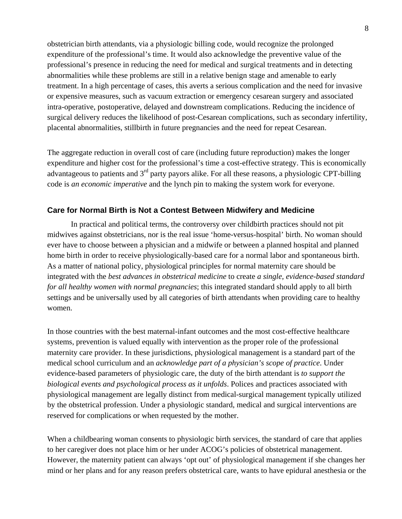obstetrician birth attendants, via a physiologic billing code, would recognize the prolonged expenditure of the professional's time. It would also acknowledge the preventive value of the professional's presence in reducing the need for medical and surgical treatments and in detecting abnormalities while these problems are still in a relative benign stage and amenable to early treatment. In a high percentage of cases, this averts a serious complication and the need for invasive or expensive measures, such as vacuum extraction or emergency cesarean surgery and associated intra-operative, postoperative, delayed and downstream complications. Reducing the incidence of surgical delivery reduces the likelihood of post-Cesarean complications, such as secondary infertility, placental abnormalities, stillbirth in future pregnancies and the need for repeat Cesarean.

The aggregate reduction in overall cost of care (including future reproduction) makes the longer expenditure and higher cost for the professional's time a cost-effective strategy. This is economically advantageous to patients and  $3<sup>rd</sup>$  party payors alike. For all these reasons, a physiologic CPT-billing code is *an economic imperative* and the lynch pin to making the system work for everyone.

#### **Care for Normal Birth is Not a Contest Between Midwifery and Medicine**

In practical and political terms, the controversy over childbirth practices should not pit midwives against obstetricians, nor is the real issue 'home-versus-hospital' birth. No woman should ever have to choose between a physician and a midwife or between a planned hospital and planned home birth in order to receive physiologically-based care for a normal labor and spontaneous birth. As a matter of national policy, physiological principles for normal maternity care should be integrated with the *best advances in obstetrical medicine* to create *a single, evidence-based standard for all healthy women with normal pregnancies*; this integrated standard should apply to all birth settings and be universally used by all categories of birth attendants when providing care to healthy women.

In those countries with the best maternal-infant outcomes and the most cost-effective healthcare systems, prevention is valued equally with intervention as the proper role of the professional maternity care provider. In these jurisdictions, physiological management is a standard part of the medical school curriculum and an *acknowledge part of a physician's scope of practice*. Under evidence-based parameters of physiologic care, the duty of the birth attendant is *to support the biological events and psychological process as it unfolds*. Polices and practices associated with physiological management are legally distinct from medical-surgical management typically utilized by the obstetrical profession. Under a physiologic standard, medical and surgical interventions are reserved for complications or when requested by the mother.

When a childbearing woman consents to physiologic birth services, the standard of care that applies to her caregiver does not place him or her under ACOG's policies of obstetrical management. However, the maternity patient can always 'opt out' of physiological management if she changes her mind or her plans and for any reason prefers obstetrical care, wants to have epidural anesthesia or the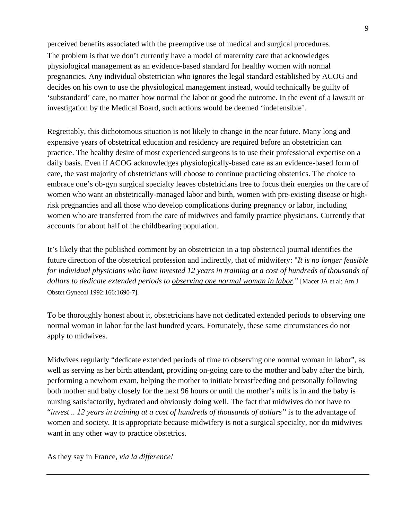perceived benefits associated with the preemptive use of medical and surgical procedures. The problem is that we don't currently have a model of maternity care that acknowledges physiological management as an evidence-based standard for healthy women with normal pregnancies. Any individual obstetrician who ignores the legal standard established by ACOG and decides on his own to use the physiological management instead, would technically be guilty of 'substandard' care, no matter how normal the labor or good the outcome. In the event of a lawsuit or investigation by the Medical Board, such actions would be deemed 'indefensible'.

Regrettably, this dichotomous situation is not likely to change in the near future. Many long and expensive years of obstetrical education and residency are required before an obstetrician can practice. The healthy desire of most experienced surgeons is to use their professional expertise on a daily basis. Even if ACOG acknowledges physiologically-based care as an evidence-based form of care, the vast majority of obstetricians will choose to continue practicing obstetrics. The choice to embrace one's ob-gyn surgical specialty leaves obstetricians free to focus their energies on the care of women who want an obstetrically-managed labor and birth, women with pre-existing disease or highrisk pregnancies and all those who develop complications during pregnancy or labor, including women who are transferred from the care of midwives and family practice physicians. Currently that accounts for about half of the childbearing population.

It's likely that the published comment by an obstetrician in a top obstetrical journal identifies the future direction of the obstetrical profession and indirectly, that of midwifery: "*It is no longer feasible for individual physicians who have invested 12 years in training at a cost of hundreds of thousands of dollars to dedicate extended periods to observing one normal woman in labor*." [Macer JA et al; Am J Obstet Gynecol 1992:166:1690-7].

To be thoroughly honest about it, obstetricians have not dedicated extended periods to observing one normal woman in labor for the last hundred years. Fortunately, these same circumstances do not apply to midwives.

Midwives regularly "dedicate extended periods of time to observing one normal woman in labor", as well as serving as her birth attendant, providing on-going care to the mother and baby after the birth, performing a newborn exam, helping the mother to initiate breastfeeding and personally following both mother and baby closely for the next 96 hours or until the mother's milk is in and the baby is nursing satisfactorily, hydrated and obviously doing well. The fact that midwives do not have to "*invest .. 12 years in training at a cost of hundreds of thousands of dollars"* is to the advantage of women and society*.* It is appropriate because midwifery is not a surgical specialty, nor do midwives want in any other way to practice obstetrics.

As they say in France, *via la difference!*